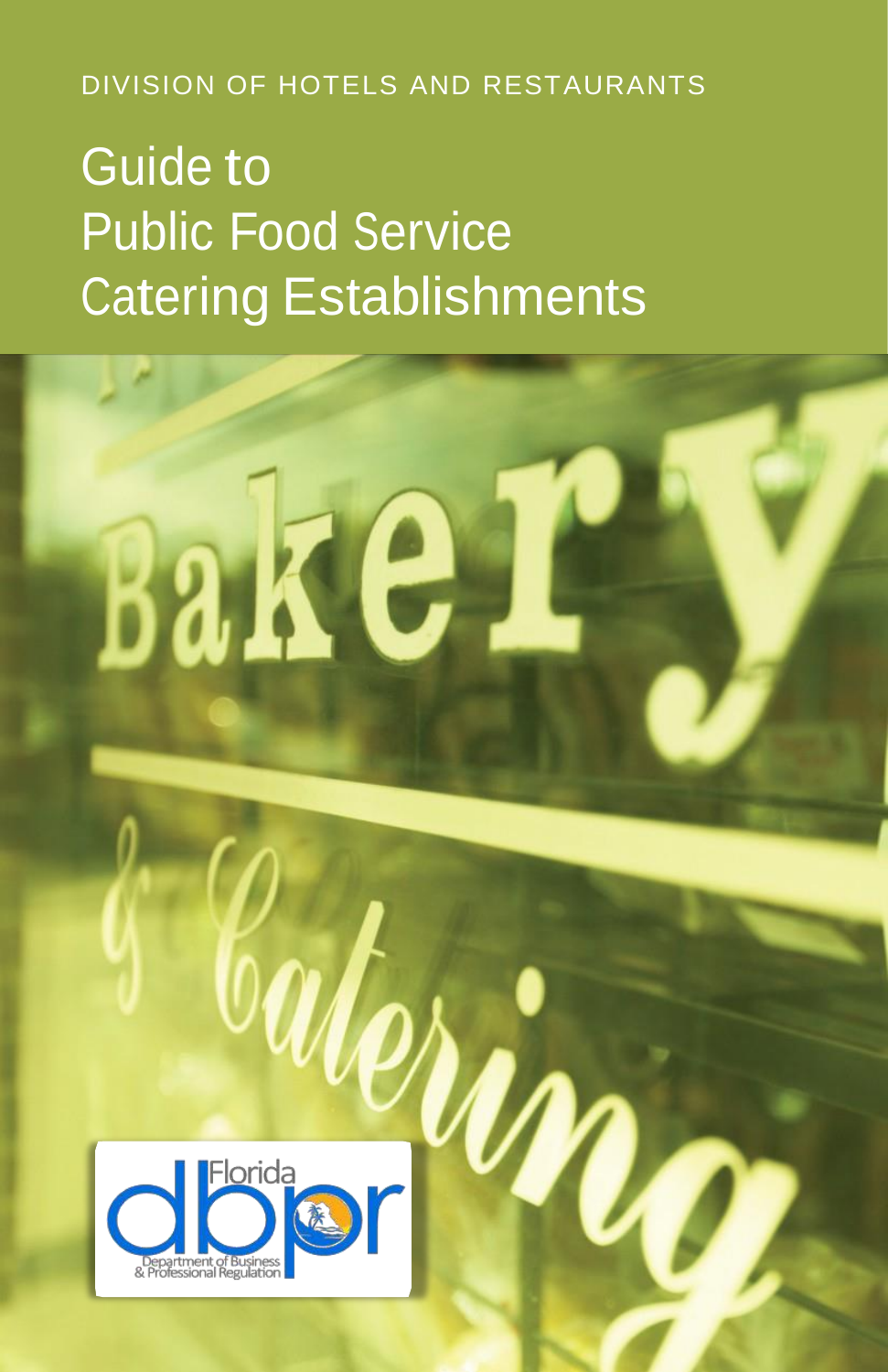DIVISION OF HOTELS AND RESTAURANTS

# Guide to Public Food Service Catering Establishments



**Bake**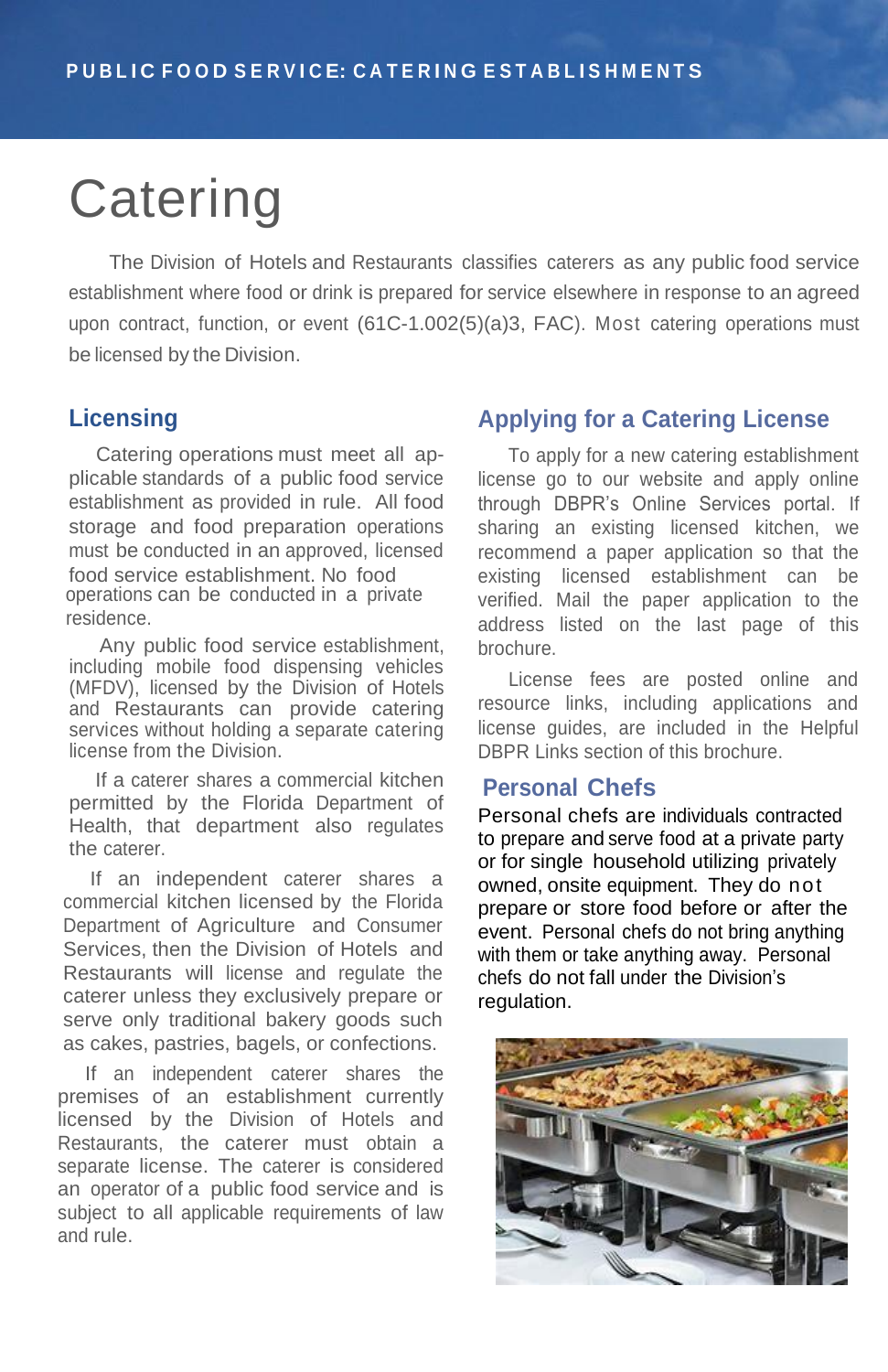# **Catering**

The Division of Hotels and Restaurants classifies caterers as any public food service establishment where food or drink is prepared for service elsewhere in response to an agreed upon contract, function, or event (61C-1.002(5)(a)3, FAC). Most catering operations must be licensed by the Division.

## **Licensing**

Catering operations must meet all applicable standards of a public food service establishment as provided in rule. All food storage and food preparation operations must be conducted in an approved, licensed food service establishment. No food operations can be conducted in a private residence.

Any public food service establishment, including mobile food dispensing vehicles (MFDV), licensed by the Division of Hotels and Restaurants can provide catering services without holding a separate catering license from the Division.

If a caterer shares a commercial kitchen permitted by the Florida Department of Health, that department also regulates the caterer.

If an independent caterer shares a commercial kitchen licensed by the Florida Department of Agriculture and Consumer Services, then the Division of Hotels and Restaurants will license and regulate the caterer unless they exclusively prepare or serve only traditional bakery goods such as cakes, pastries, bagels, or confections.

If an independent caterer shares the premises of an establishment currently licensed by the Division of Hotels and Restaurants, the caterer must obtain a separate license. The caterer is considered an operator of a public food service and is subject to all applicable requirements of law and rule.

## **Applying for a Catering License**

To apply for a new catering establishment license go to our website and apply online through DBPR's Online Services portal. If sharing an existing licensed kitchen, we recommend a paper application so that the existing licensed establishment can be verified. Mail the paper application to the address listed on the last page of this brochure.

License fees are posted online and resource links, including applications and license guides, are included in the Helpful DBPR Links section of this brochure.

## **Personal Chefs**

Personal chefs are individuals contracted to prepare and serve food at a private party or for single household utilizing privately owned, onsite equipment. They do not prepare or store food before or after the event. Personal chefs do not bring anything with them or take anything away. Personal chefs do not fall under the Division's regulation.

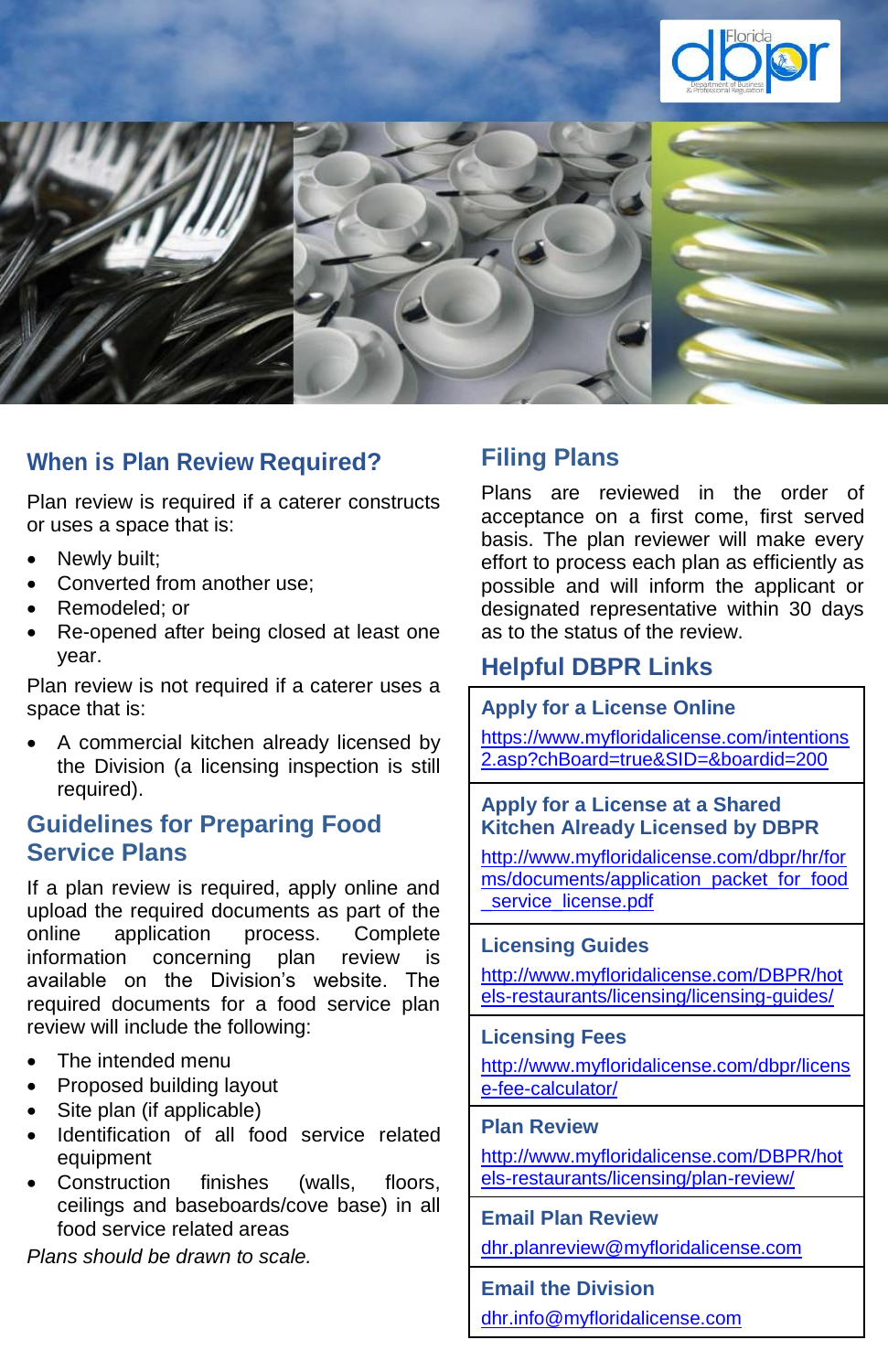



# **When is Plan Review Required?**

Plan review is required if a caterer constructs or uses a space that is:

- Newly built;
- Converted from another use:
- Remodeled; or
- Re-opened after being closed at least one year.

Plan review is not required if a caterer uses a space that is:

 A commercial kitchen already licensed by the Division (a licensing inspection is still required).

# **Guidelines for Preparing Food Service Plans**

If a plan review is required, apply online and upload the required documents as part of the online application process. Complete information concerning plan review is available on the Division's website. The required documents for a food service plan review will include the following:

- The intended menu
- Proposed building layout
- Site plan (if applicable)
- Identification of all food service related equipment
- Construction finishes (walls, floors, ceilings and baseboards/cove base) in all food service related areas

*Plans should be drawn to scale.*

# **Filing Plans**

Plans are reviewed in the order of acceptance on a first come, first served basis. The plan reviewer will make every effort to process each plan as efficiently as possible and will inform the applicant or designated representative within 30 days as to the status of the review.

# **Helpful DBPR Links**

## **Apply for a License Online**

[https://www.myfloridalicense.com/intentions](https://www.myfloridalicense.com/intentions2.asp?chBoard=true&SID=&boardid=200) [2.asp?chBoard=true&SID=&boardid=200](https://www.myfloridalicense.com/intentions2.asp?chBoard=true&SID=&boardid=200)

## **Apply for a License at a Shared Kitchen Already Licensed by DBPR**

[http://www.myfloridalicense.com/dbpr/hr/for](http://www.myfloridalicense.com/dbpr/hr/forms/documents/application_packet_for_food_service_license.pdf) [ms/documents/application\\_packet\\_for\\_food](http://www.myfloridalicense.com/dbpr/hr/forms/documents/application_packet_for_food_service_license.pdf) service\_license.pdf

### **Licensing Guides**

[http://www.myfloridalicense.com/DBPR/hot](http://www.myfloridalicense.com/DBPR/hotels-restaurants/licensing/licensing-guides/) [els-restaurants/licensing/licensing-guides/](http://www.myfloridalicense.com/DBPR/hotels-restaurants/licensing/licensing-guides/)

#### **Licensing Fees**

[http://www.myfloridalicense.com/dbpr/licens](http://www.myfloridalicense.com/dbpr/license-fee-calculator/) [e-fee-calculator/](http://www.myfloridalicense.com/dbpr/license-fee-calculator/)

### **Plan Review**

[http://www.myfloridalicense.com/DBPR/hot](http://www.myfloridalicense.com/DBPR/hotels-restaurants/licensing/plan-review/) [els-restaurants/licensing/plan-review/](http://www.myfloridalicense.com/DBPR/hotels-restaurants/licensing/plan-review/)

#### **Email Plan Review**

[dhr.planreview@myfloridalicense.com](mailto:dhr.planreview@myfloridalicense.com)

#### **Email the Division**

[dhr.info@myfloridalicense.com](mailto:dhr.info@myfloridalicense.com)